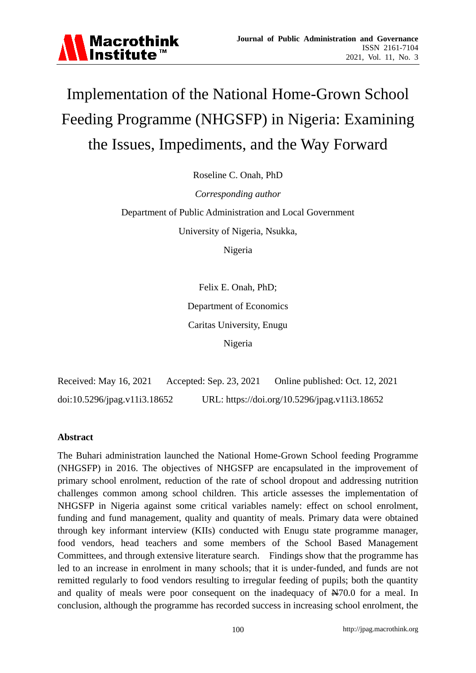

# Implementation of the National Home-Grown School Feeding Programme (NHGSFP) in Nigeria: Examining the Issues, Impediments, and the Way Forward

Roseline C. Onah, PhD

*Corresponding author* Department of Public Administration and Local Government University of Nigeria, Nsukka,

Nigeria

Felix E. Onah, PhD; Department of Economics Caritas University, Enugu Nigeria

Received: May 16, 2021 Accepted: Sep. 23, 2021 Online published: Oct. 12, 2021 doi:10.5296/jpag.v11i3.18652 URL: https://doi.org/10.5296/jpag.v11i3.18652

## **Abstract**

The Buhari administration launched the National Home-Grown School feeding Programme (NHGSFP) in 2016. The objectives of NHGSFP are encapsulated in the improvement of primary school enrolment, reduction of the rate of school dropout and addressing nutrition challenges common among school children. This article assesses the implementation of NHGSFP in Nigeria against some critical variables namely: effect on school enrolment, funding and fund management, quality and quantity of meals. Primary data were obtained through key informant interview (KIIs) conducted with Enugu state programme manager, food vendors, head teachers and some members of the School Based Management Committees, and through extensive literature search. Findings show that the programme has led to an increase in enrolment in many schools; that it is under-funded, and funds are not remitted regularly to food vendors resulting to irregular feeding of pupils; both the quantity and quality of meals were poor consequent on the inadequacy of  $\cancel{\text{N70.0}}$  for a meal. In conclusion, although the programme has recorded success in increasing school enrolment, the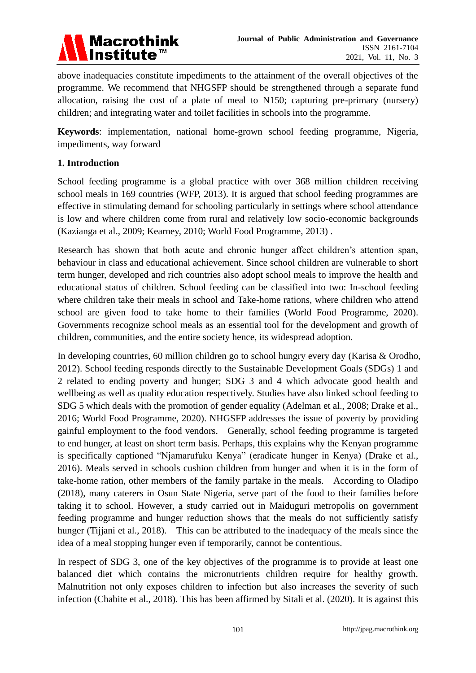

above inadequacies constitute impediments to the attainment of the overall objectives of the programme. We recommend that NHGSFP should be strengthened through a separate fund allocation, raising the cost of a plate of meal to N150; capturing pre-primary (nursery) children; and integrating water and toilet facilities in schools into the programme.

**Keywords**: implementation, national home-grown school feeding programme, Nigeria, impediments, way forward

#### **1. Introduction**

School feeding programme is a global practice with over 368 million children receiving school meals in 169 countries (WFP, 2013). It is argued that school feeding programmes are effective in stimulating demand for schooling particularly in settings where school attendance is low and where children come from rural and relatively low socio-economic backgrounds (Kazianga et al., 2009; Kearney, 2010; World Food Programme, 2013) .

Research has shown that both acute and chronic hunger affect children's attention span, behaviour in class and educational achievement. Since school children are vulnerable to short term hunger, developed and rich countries also adopt school meals to improve the health and educational status of children. School feeding can be classified into two: In-school feeding where children take their meals in school and Take-home rations, where children who attend school are given food to take home to their families (World Food Programme, 2020). Governments recognize school meals as an essential tool for the development and growth of children, communities, and the entire society hence, its widespread adoption.

In developing countries, 60 million children go to school hungry every day (Karisa & Orodho, 2012). School feeding responds directly to the Sustainable Development Goals (SDGs) 1 and 2 related to ending poverty and hunger; SDG 3 and 4 which advocate good health and wellbeing as well as quality education respectively. Studies have also linked school feeding to SDG 5 which deals with the promotion of gender equality (Adelman et al., 2008; Drake et al., 2016; World Food Programme, 2020). NHGSFP addresses the issue of poverty by providing gainful employment to the food vendors. Generally, school feeding programme is targeted to end hunger, at least on short term basis. Perhaps, this explains why the Kenyan programme is specifically captioned "Njamarufuku Kenya" (eradicate hunger in Kenya) (Drake et al., 2016). Meals served in schools cushion children from hunger and when it is in the form of take-home ration, other members of the family partake in the meals. According to Oladipo (2018), many caterers in Osun State Nigeria, serve part of the food to their families before taking it to school. However, a study carried out in Maiduguri metropolis on government feeding programme and hunger reduction shows that the meals do not sufficiently satisfy hunger (Tijjani et al., 2018). This can be attributed to the inadequacy of the meals since the idea of a meal stopping hunger even if temporarily, cannot be contentious.

In respect of SDG 3, one of the key objectives of the programme is to provide at least one balanced diet which contains the micronutrients children require for healthy growth. Malnutrition not only exposes children to infection but also increases the severity of such infection (Chabite et al., 2018). This has been affirmed by Sitali et al. (2020). It is against this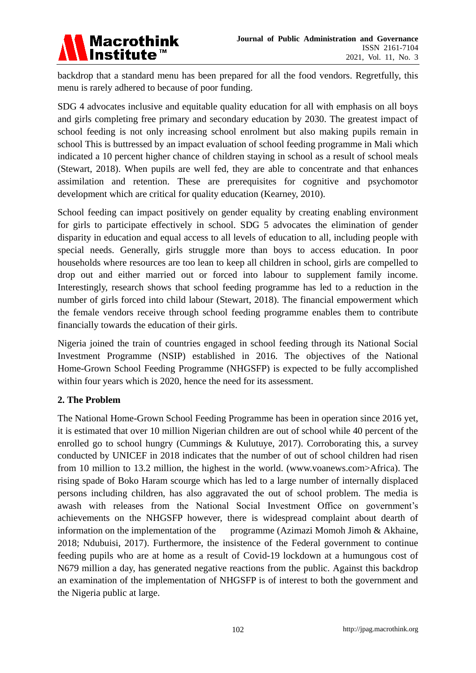

backdrop that a standard menu has been prepared for all the food vendors. Regretfully, this menu is rarely adhered to because of poor funding.

SDG 4 advocates inclusive and equitable quality education for all with emphasis on all boys and girls completing free primary and secondary education by 2030. The greatest impact of school feeding is not only increasing school enrolment but also making pupils remain in school This is buttressed by an impact evaluation of school feeding programme in Mali which indicated a 10 percent higher chance of children staying in school as a result of school meals (Stewart, 2018). When pupils are well fed, they are able to concentrate and that enhances assimilation and retention. These are prerequisites for cognitive and psychomotor development which are critical for quality education (Kearney, 2010).

School feeding can impact positively on gender equality by creating enabling environment for girls to participate effectively in school. SDG 5 advocates the elimination of gender disparity in education and equal access to all levels of education to all, including people with special needs. Generally, girls struggle more than boys to access education. In poor households where resources are too lean to keep all children in school, girls are compelled to drop out and either married out or forced into labour to supplement family income. Interestingly, research shows that school feeding programme has led to a reduction in the number of girls forced into child labour (Stewart, 2018). The financial empowerment which the female vendors receive through school feeding programme enables them to contribute financially towards the education of their girls.

Nigeria joined the train of countries engaged in school feeding through its National Social Investment Programme (NSIP) established in 2016. The objectives of the National Home-Grown School Feeding Programme (NHGSFP) is expected to be fully accomplished within four years which is 2020, hence the need for its assessment.

# **2. The Problem**

The National Home-Grown School Feeding Programme has been in operation since 2016 yet, it is estimated that over 10 million Nigerian children are out of school while 40 percent of the enrolled go to school hungry (Cummings & Kulutuye, 2017). Corroborating this, a survey conducted by UNICEF in 2018 indicates that the number of out of school children had risen from 10 million to 13.2 million, the highest in the world. (www.voanews.com>Africa). The rising spade of Boko Haram scourge which has led to a large number of internally displaced persons including children, has also aggravated the out of school problem. The media is awash with releases from the National Social Investment Office on government's achievements on the NHGSFP however, there is widespread complaint about dearth of information on the implementation of the programme (Azimazi Momoh Jimoh & Akhaine, 2018; Ndubuisi, 2017). Furthermore, the insistence of the Federal government to continue feeding pupils who are at home as a result of Covid-19 lockdown at a humungous cost of N679 million a day, has generated negative reactions from the public. Against this backdrop an examination of the implementation of NHGSFP is of interest to both the government and the Nigeria public at large.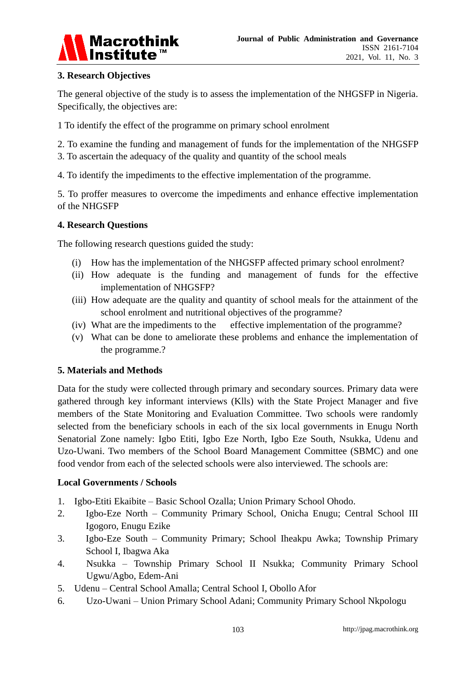

## **3. Research Objectives**

The general objective of the study is to assess the implementation of the NHGSFP in Nigeria. Specifically, the objectives are:

1 To identify the effect of the programme on primary school enrolment

2. To examine the funding and management of funds for the implementation of the NHGSFP

3. To ascertain the adequacy of the quality and quantity of the school meals

4. To identify the impediments to the effective implementation of the programme.

5. To proffer measures to overcome the impediments and enhance effective implementation of the NHGSFP

## **4. Research Questions**

The following research questions guided the study:

- (i) How has the implementation of the NHGSFP affected primary school enrolment?
- (ii) How adequate is the funding and management of funds for the effective implementation of NHGSFP?
- (iii) How adequate are the quality and quantity of school meals for the attainment of the school enrolment and nutritional objectives of the programme?
- (iv) What are the impediments to the effective implementation of the programme?
- (v) What can be done to ameliorate these problems and enhance the implementation of the programme.?

## **5. Materials and Methods**

Data for the study were collected through primary and secondary sources. Primary data were gathered through key informant interviews (Klls) with the State Project Manager and five members of the State Monitoring and Evaluation Committee. Two schools were randomly selected from the beneficiary schools in each of the six local governments in Enugu North Senatorial Zone namely: Igbo Etiti, Igbo Eze North, Igbo Eze South, Nsukka, Udenu and Uzo-Uwani. Two members of the School Board Management Committee (SBMC) and one food vendor from each of the selected schools were also interviewed. The schools are:

## **Local Governments / Schools**

- 1. Igbo-Etiti Ekaibite Basic School Ozalla; Union Primary School Ohodo.
- 2. Igbo-Eze North Community Primary School, Onicha Enugu; Central School III Igogoro, Enugu Ezike
- 3. Igbo-Eze South Community Primary; School Iheakpu Awka; Township Primary School I, Ibagwa Aka
- 4. Nsukka Township Primary School II Nsukka; Community Primary School Ugwu/Agbo, Edem-Ani
- 5. Udenu Central School Amalla; Central School I, Obollo Afor
- 6. Uzo-Uwani Union Primary School Adani; Community Primary School Nkpologu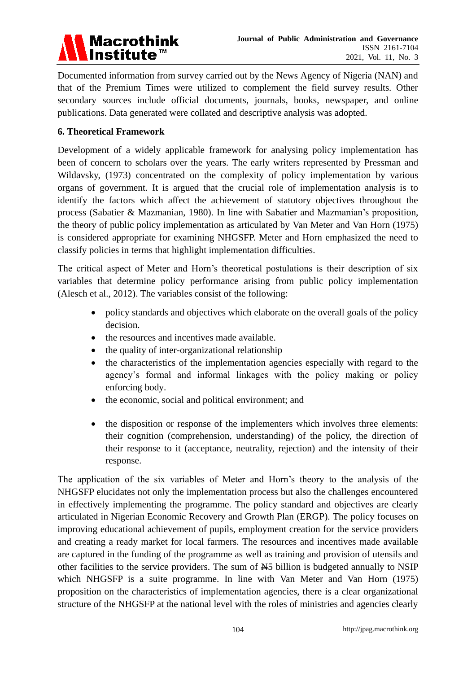

Documented information from survey carried out by the News Agency of Nigeria (NAN) and that of the Premium Times were utilized to complement the field survey results. Other secondary sources include official documents, journals, books, newspaper, and online publications. Data generated were collated and descriptive analysis was adopted.

## **6. Theoretical Framework**

Development of a widely applicable framework for analysing policy implementation has been of concern to scholars over the years. The early writers represented by Pressman and Wildavsky, (1973) concentrated on the complexity of policy implementation by various organs of government. It is argued that the crucial role of implementation analysis is to identify the factors which affect the achievement of statutory objectives throughout the process (Sabatier & Mazmanian, 1980). In line with Sabatier and Mazmanian's proposition, the theory of public policy implementation as articulated by Van Meter and Van Horn (1975) is considered appropriate for examining NHGSFP. Meter and Horn emphasized the need to classify policies in terms that highlight implementation difficulties.

The critical aspect of Meter and Horn's theoretical postulations is their description of six variables that determine policy performance arising from public policy implementation (Alesch et al., 2012). The variables consist of the following:

- policy standards and objectives which elaborate on the overall goals of the policy decision.
- the resources and incentives made available.
- the quality of inter-organizational relationship
- the characteristics of the implementation agencies especially with regard to the agency's formal and informal linkages with the policy making or policy enforcing body.
- the economic, social and political environment; and
- the disposition or response of the implementers which involves three elements: their cognition (comprehension, understanding) of the policy, the direction of their response to it (acceptance, neutrality, rejection) and the intensity of their response.

The application of the six variables of Meter and Horn's theory to the analysis of the NHGSFP elucidates not only the implementation process but also the challenges encountered in effectively implementing the programme. The policy standard and objectives are clearly articulated in Nigerian Economic Recovery and Growth Plan (ERGP). The policy focuses on improving educational achievement of pupils, employment creation for the service providers and creating a ready market for local farmers. The resources and incentives made available are captured in the funding of the programme as well as training and provision of utensils and other facilities to the service providers. The sum of N5 billion is budgeted annually to NSIP which NHGSFP is a suite programme. In line with Van Meter and Van Horn (1975) proposition on the characteristics of implementation agencies, there is a clear organizational structure of the NHGSFP at the national level with the roles of ministries and agencies clearly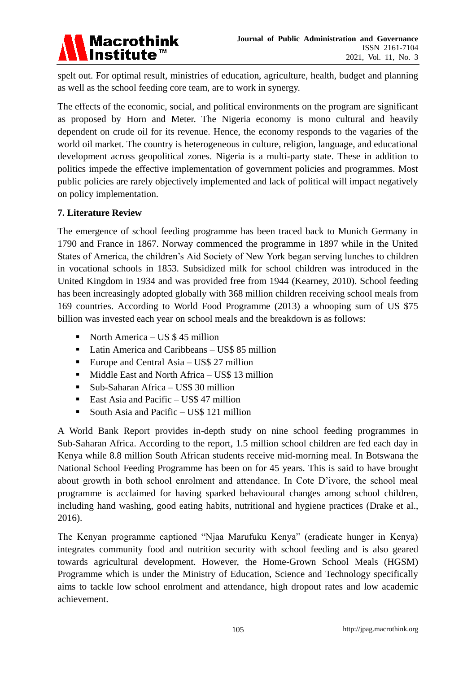

spelt out. For optimal result, ministries of education, agriculture, health, budget and planning as well as the school feeding core team, are to work in synergy.

The effects of the economic, social, and political environments on the program are significant as proposed by Horn and Meter. The Nigeria economy is mono cultural and heavily dependent on crude oil for its revenue. Hence, the economy responds to the vagaries of the world oil market. The country is heterogeneous in culture, religion, language, and educational development across geopolitical zones. Nigeria is a multi-party state. These in addition to politics impede the effective implementation of government policies and programmes. Most public policies are rarely objectively implemented and lack of political will impact negatively on policy implementation.

#### **7. Literature Review**

The emergence of school feeding programme has been traced back to Munich Germany in 1790 and France in 1867. Norway commenced the programme in 1897 while in the United States of America, the children's Aid Society of New York began serving lunches to children in vocational schools in 1853. Subsidized milk for school children was introduced in the United Kingdom in 1934 and was provided free from 1944 (Kearney, 2010). School feeding has been increasingly adopted globally with 368 million children receiving school meals from 169 countries. According to World Food Programme (2013) a whooping sum of US \$75 billion was invested each year on school meals and the breakdown is as follows:

- North America US  $$45$  million
- **Latin America and Caribbeans US\$ 85 million**
- Europe and Central Asia US\$ 27 million
- Middle East and North Africa US\$ 13 million
- Sub-Saharan Africa US\$ 30 million
- East Asia and Pacific US\$ 47 million
- South Asia and Pacific US\$ 121 million

A World Bank Report provides in-depth study on nine school feeding programmes in Sub-Saharan Africa. According to the report, 1.5 million school children are fed each day in Kenya while 8.8 million South African students receive mid-morning meal. In Botswana the National School Feeding Programme has been on for 45 years. This is said to have brought about growth in both school enrolment and attendance. In Cote D'ivore, the school meal programme is acclaimed for having sparked behavioural changes among school children, including hand washing, good eating habits, nutritional and hygiene practices (Drake et al., 2016).

The Kenyan programme captioned "Njaa Marufuku Kenya" (eradicate hunger in Kenya) integrates community food and nutrition security with school feeding and is also geared towards agricultural development. However, the Home-Grown School Meals (HGSM) Programme which is under the Ministry of Education, Science and Technology specifically aims to tackle low school enrolment and attendance, high dropout rates and low academic achievement.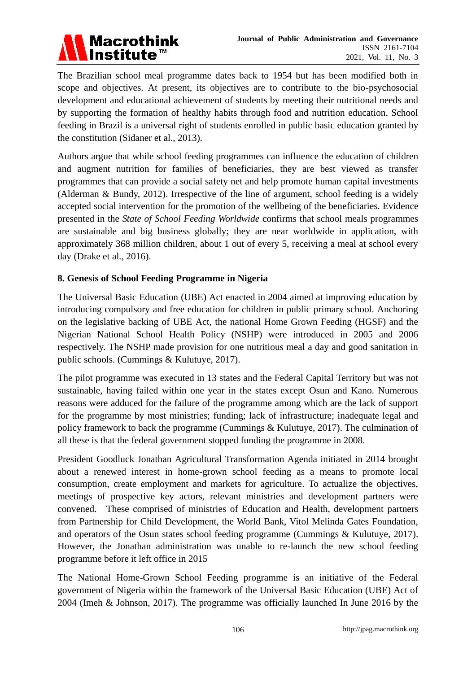

The Brazilian school meal programme dates back to 1954 but has been modified both in scope and objectives. At present, its objectives are to contribute to the bio-psychosocial development and educational achievement of students by meeting their nutritional needs and by supporting the formation of healthy habits through food and nutrition education. School feeding in Brazil is a universal right of students enrolled in public basic education granted by the constitution (Sidaner et al., 2013).

Authors argue that while school feeding programmes can influence the education of children and augment nutrition for families of beneficiaries, they are best viewed as transfer programmes that can provide a social safety net and help promote human capital investments (Alderman & Bundy, 2012). Irrespective of the line of argument, school feeding is a widely accepted social intervention for the promotion of the wellbeing of the beneficiaries. Evidence presented in the *State of School Feeding Worldwide* confirms that school meals programmes are sustainable and big business globally; they are near worldwide in application, with approximately 368 million children, about 1 out of every 5, receiving a meal at school every day (Drake et al., 2016).

## **8. Genesis of School Feeding Programme in Nigeria**

The Universal Basic Education (UBE) Act enacted in 2004 aimed at improving education by introducing compulsory and free education for children in public primary school. Anchoring on the legislative backing of UBE Act, the national Home Grown Feeding (HGSF) and the Nigerian National School Health Policy (NSHP) were introduced in 2005 and 2006 respectively. The NSHP made provision for one nutritious meal a day and good sanitation in public schools. (Cummings & Kulutuye, 2017).

The pilot programme was executed in 13 states and the Federal Capital Territory but was not sustainable, having failed within one year in the states except Osun and Kano. Numerous reasons were adduced for the failure of the programme among which are the lack of support for the programme by most ministries; funding; lack of infrastructure; inadequate legal and policy framework to back the programme (Cummings & Kulutuye, 2017). The culmination of all these is that the federal government stopped funding the programme in 2008.

President Goodluck Jonathan Agricultural Transformation Agenda initiated in 2014 brought about a renewed interest in home-grown school feeding as a means to promote local consumption, create employment and markets for agriculture. To actualize the objectives, meetings of prospective key actors, relevant ministries and development partners were convened. These comprised of ministries of Education and Health, development partners from Partnership for Child Development, the World Bank, Vitol Melinda Gates Foundation, and operators of the Osun states school feeding programme (Cummings & Kulutuye, 2017). However, the Jonathan administration was unable to re-launch the new school feeding programme before it left office in 2015

The National Home-Grown School Feeding programme is an initiative of the Federal government of Nigeria within the framework of the Universal Basic Education (UBE) Act of 2004 (Imeh & Johnson, 2017). The programme was officially launched In June 2016 by the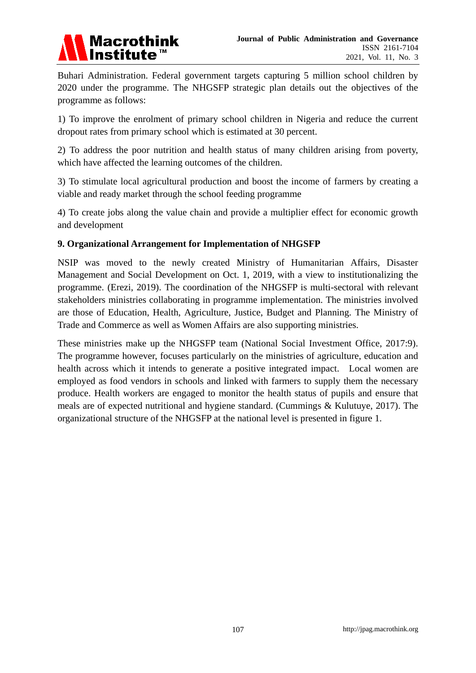

Buhari Administration. Federal government targets capturing 5 million school children by 2020 under the programme. The NHGSFP strategic plan details out the objectives of the programme as follows:

1) To improve the enrolment of primary school children in Nigeria and reduce the current dropout rates from primary school which is estimated at 30 percent.

2) To address the poor nutrition and health status of many children arising from poverty, which have affected the learning outcomes of the children.

3) To stimulate local agricultural production and boost the income of farmers by creating a viable and ready market through the school feeding programme

4) To create jobs along the value chain and provide a multiplier effect for economic growth and development

## **9. Organizational Arrangement for Implementation of NHGSFP**

NSIP was moved to the newly created Ministry of Humanitarian Affairs, Disaster Management and Social Development on Oct. 1, 2019, with a view to institutionalizing the programme. (Erezi, 2019). The coordination of the NHGSFP is multi-sectoral with relevant stakeholders ministries collaborating in programme implementation. The ministries involved are those of Education, Health, Agriculture, Justice, Budget and Planning. The Ministry of Trade and Commerce as well as Women Affairs are also supporting ministries.

These ministries make up the NHGSFP team (National Social Investment Office, 2017:9). The programme however, focuses particularly on the ministries of agriculture, education and health across which it intends to generate a positive integrated impact. Local women are employed as food vendors in schools and linked with farmers to supply them the necessary produce. Health workers are engaged to monitor the health status of pupils and ensure that meals are of expected nutritional and hygiene standard. (Cummings & Kulutuye, 2017). The organizational structure of the NHGSFP at the national level is presented in figure 1.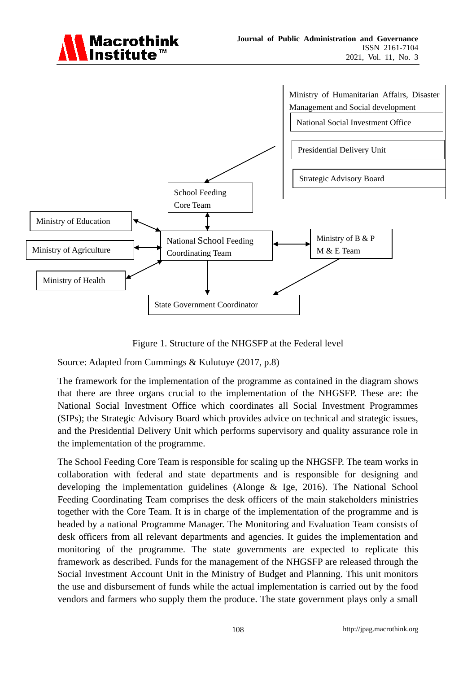



Figure 1. Structure of the NHGSFP at the Federal level

Source: Adapted from Cummings & Kulutuye (2017, p.8)

The framework for the implementation of the programme as contained in the diagram shows that there are three organs crucial to the implementation of the NHGSFP. These are: the National Social Investment Office which coordinates all Social Investment Programmes (SIPs); the Strategic Advisory Board which provides advice on technical and strategic issues, and the Presidential Delivery Unit which performs supervisory and quality assurance role in the implementation of the programme.

The School Feeding Core Team is responsible for scaling up the NHGSFP. The team works in collaboration with federal and state departments and is responsible for designing and developing the implementation guidelines (Alonge & Ige, 2016). The National School Feeding Coordinating Team comprises the desk officers of the main stakeholders ministries together with the Core Team. It is in charge of the implementation of the programme and is headed by a national Programme Manager. The Monitoring and Evaluation Team consists of desk officers from all relevant departments and agencies. It guides the implementation and monitoring of the programme. The state governments are expected to replicate this framework as described. Funds for the management of the NHGSFP are released through the Social Investment Account Unit in the Ministry of Budget and Planning. This unit monitors the use and disbursement of funds while the actual implementation is carried out by the food vendors and farmers who supply them the produce. The state government plays only a small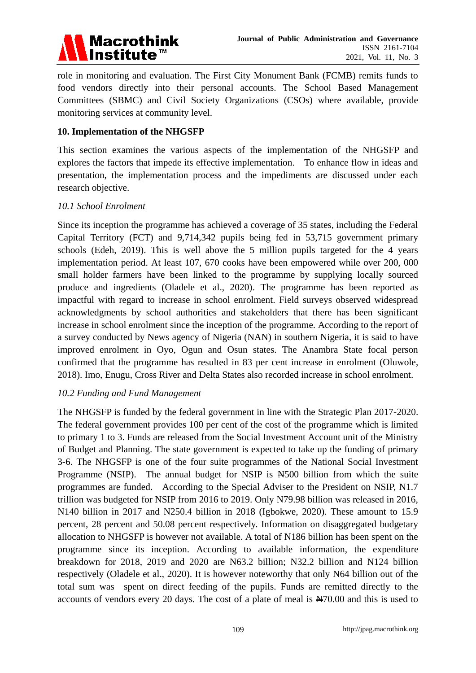

role in monitoring and evaluation. The First City Monument Bank (FCMB) remits funds to food vendors directly into their personal accounts. The School Based Management Committees (SBMC) and Civil Society Organizations (CSOs) where available, provide monitoring services at community level.

#### **10. Implementation of the NHGSFP**

This section examines the various aspects of the implementation of the NHGSFP and explores the factors that impede its effective implementation. To enhance flow in ideas and presentation, the implementation process and the impediments are discussed under each research objective.

#### *10.1 School Enrolment*

Since its inception the programme has achieved a coverage of 35 states, including the Federal Capital Territory (FCT) and 9,714,342 pupils being fed in 53,715 government primary schools (Edeh, 2019). This is well above the 5 million pupils targeted for the 4 years implementation period. At least 107, 670 cooks have been empowered while over 200, 000 small holder farmers have been linked to the programme by supplying locally sourced produce and ingredients (Oladele et al., 2020). The programme has been reported as impactful with regard to increase in school enrolment. Field surveys observed widespread acknowledgments by school authorities and stakeholders that there has been significant increase in school enrolment since the inception of the programme. According to the report of a survey conducted by News agency of Nigeria (NAN) in southern Nigeria, it is said to have improved enrolment in Oyo, Ogun and Osun states. The Anambra State focal person confirmed that the programme has resulted in 83 per cent increase in enrolment (Oluwole, 2018). Imo, Enugu, Cross River and Delta States also recorded increase in school enrolment.

#### *10.2 Funding and Fund Management*

The NHGSFP is funded by the federal government in line with the Strategic Plan 2017-2020. The federal government provides 100 per cent of the cost of the programme which is limited to primary 1 to 3. Funds are released from the Social Investment Account unit of the Ministry of Budget and Planning. The state government is expected to take up the funding of primary 3-6. The NHGSFP is one of the four suite programmes of the National Social Investment Programme (NSIP). The annual budget for NSIP is  $\angle A500$  billion from which the suite programmes are funded. According to the Special Adviser to the President on NSIP, N1.7 trillion was budgeted for NSIP from 2016 to 2019. Only N79.98 billion was released in 2016, N140 billion in 2017 and N250.4 billion in 2018 (Igbokwe, 2020). These amount to 15.9 percent, 28 percent and 50.08 percent respectively. Information on disaggregated budgetary allocation to NHGSFP is however not available. A total of N186 billion has been spent on the programme since its inception. According to available information, the expenditure breakdown for 2018, 2019 and 2020 are N63.2 billion; N32.2 billion and N124 billion respectively (Oladele et al., 2020). It is however noteworthy that only N64 billion out of the total sum was spent on direct feeding of the pupils. Funds are remitted directly to the accounts of vendors every 20 days. The cost of a plate of meal is N70.00 and this is used to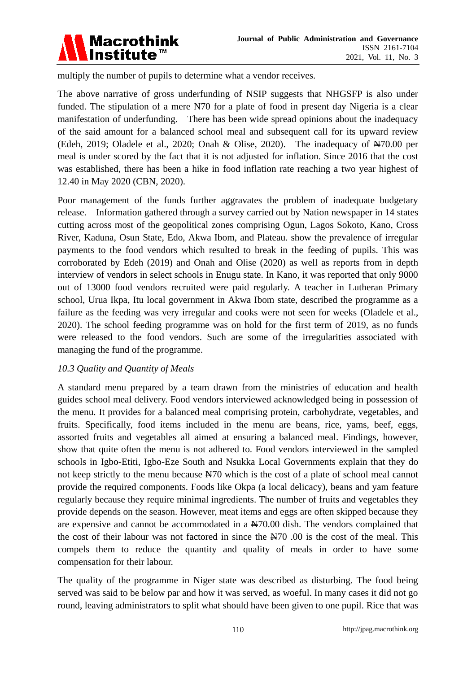

multiply the number of pupils to determine what a vendor receives.

The above narrative of gross underfunding of NSIP suggests that NHGSFP is also under funded. The stipulation of a mere N70 for a plate of food in present day Nigeria is a clear manifestation of underfunding. There has been wide spread opinions about the inadequacy of the said amount for a balanced school meal and subsequent call for its upward review (Edeh, 2019; Oladele et al., 2020; Onah & Olise, 2020). The inadequacy of N70.00 per meal is under scored by the fact that it is not adjusted for inflation. Since 2016 that the cost was established, there has been a hike in food inflation rate reaching a two year highest of 12.40 in May 2020 (CBN, 2020).

Poor management of the funds further aggravates the problem of inadequate budgetary release. Information gathered through a survey carried out by Nation newspaper in 14 states cutting across most of the geopolitical zones comprising Ogun, Lagos Sokoto, Kano, Cross River, Kaduna, Osun State, Edo, Akwa Ibom, and Plateau. show the prevalence of irregular payments to the food vendors which resulted to break in the feeding of pupils. This was corroborated by Edeh (2019) and Onah and Olise (2020) as well as reports from in depth interview of vendors in select schools in Enugu state. In Kano, it was reported that only 9000 out of 13000 food vendors recruited were paid regularly. A teacher in Lutheran Primary school, Urua Ikpa, Itu local government in Akwa Ibom state, described the programme as a failure as the feeding was very irregular and cooks were not seen for weeks (Oladele et al., 2020). The school feeding programme was on hold for the first term of 2019, as no funds were released to the food vendors. Such are some of the irregularities associated with managing the fund of the programme.

#### *10.3 Quality and Quantity of Meals*

A standard menu prepared by a team drawn from the ministries of education and health guides school meal delivery. Food vendors interviewed acknowledged being in possession of the menu. It provides for a balanced meal comprising protein, carbohydrate, vegetables, and fruits. Specifically, food items included in the menu are beans, rice, yams, beef, eggs, assorted fruits and vegetables all aimed at ensuring a balanced meal. Findings, however, show that quite often the menu is not adhered to. Food vendors interviewed in the sampled schools in Igbo-Etiti, Igbo-Eze South and Nsukka Local Governments explain that they do not keep strictly to the menu because  $\frac{N}{10}$  which is the cost of a plate of school meal cannot provide the required components. Foods like Okpa (a local delicacy), beans and yam feature regularly because they require minimal ingredients. The number of fruits and vegetables they provide depends on the season. However, meat items and eggs are often skipped because they are expensive and cannot be accommodated in a N70.00 dish. The vendors complained that the cost of their labour was not factored in since the  $\overline{N70}$  .00 is the cost of the meal. This compels them to reduce the quantity and quality of meals in order to have some compensation for their labour.

The quality of the programme in Niger state was described as disturbing. The food being served was said to be below par and how it was served, as woeful. In many cases it did not go round, leaving administrators to split what should have been given to one pupil. Rice that was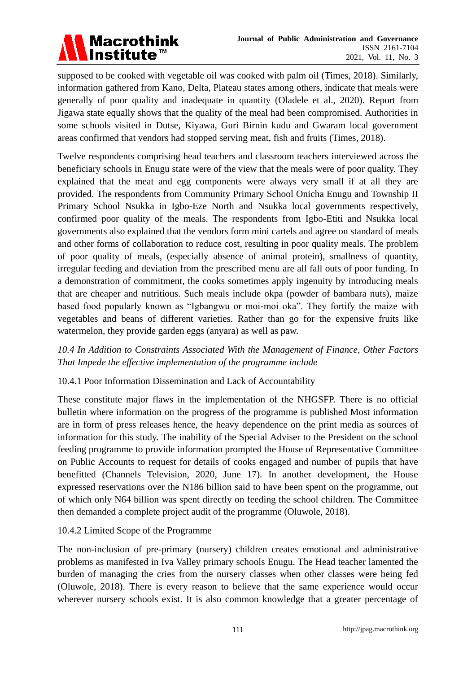

supposed to be cooked with vegetable oil was cooked with palm oil (Times, 2018). Similarly, information gathered from Kano, Delta, Plateau states among others, indicate that meals were generally of poor quality and inadequate in quantity (Oladele et al., 2020). Report from Jigawa state equally shows that the quality of the meal had been compromised. Authorities in some schools visited in Dutse, Kiyawa, Guri Birnin kudu and Gwaram local government areas confirmed that vendors had stopped serving meat, fish and fruits (Times, 2018).

Twelve respondents comprising head teachers and classroom teachers interviewed across the beneficiary schools in Enugu state were of the view that the meals were of poor quality. They explained that the meat and egg components were always very small if at all they are provided. The respondents from Community Primary School Onicha Enugu and Township II Primary School Nsukka in Igbo-Eze North and Nsukka local governments respectively, confirmed poor quality of the meals. The respondents from Igbo-Etiti and Nsukka local governments also explained that the vendors form mini cartels and agree on standard of meals and other forms of collaboration to reduce cost, resulting in poor quality meals. The problem of poor quality of meals, (especially absence of animal protein), smallness of quantity, irregular feeding and deviation from the prescribed menu are all fall outs of poor funding. In a demonstration of commitment, the cooks sometimes apply ingenuity by introducing meals that are cheaper and nutritious. Such meals include okpa (powder of bambara nuts), maize based food popularly known as "Igbangwu or moi-moi oka". They fortify the maize with vegetables and beans of different varieties. Rather than go for the expensive fruits like watermelon, they provide garden eggs (anyara) as well as paw.

*10.4 In Addition to Constraints Associated With the Management of Finance, Other Factors That Impede the effective implementation of the programme include*

## 10.4.1 Poor Information Dissemination and Lack of Accountability

These constitute major flaws in the implementation of the NHGSFP. There is no official bulletin where information on the progress of the programme is published Most information are in form of press releases hence, the heavy dependence on the print media as sources of information for this study. The inability of the Special Adviser to the President on the school feeding programme to provide information prompted the House of Representative Committee on Public Accounts to request for details of cooks engaged and number of pupils that have benefitted (Channels Television, 2020, June 17). In another development, the House expressed reservations over the N186 billion said to have been spent on the programme, out of which only N64 billion was spent directly on feeding the school children. The Committee then demanded a complete project audit of the programme (Oluwole, 2018).

#### 10.4.2 Limited Scope of the Programme

The non-inclusion of pre-primary (nursery) children creates emotional and administrative problems as manifested in Iva Valley primary schools Enugu. The Head teacher lamented the burden of managing the cries from the nursery classes when other classes were being fed (Oluwole, 2018). There is every reason to believe that the same experience would occur wherever nursery schools exist. It is also common knowledge that a greater percentage of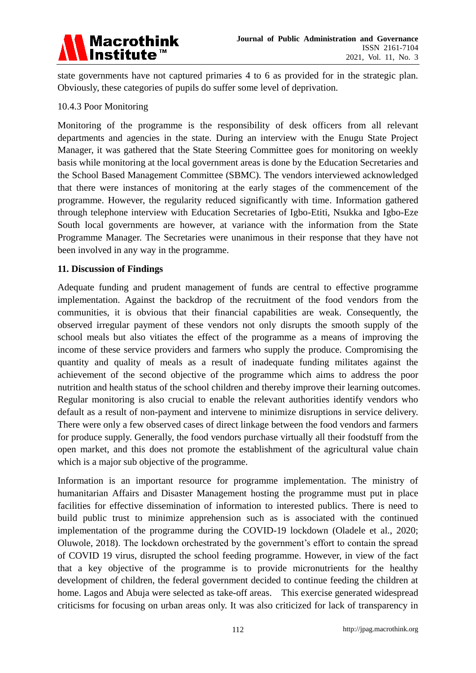

state governments have not captured primaries 4 to 6 as provided for in the strategic plan. Obviously, these categories of pupils do suffer some level of deprivation.

#### 10.4.3 Poor Monitoring

Monitoring of the programme is the responsibility of desk officers from all relevant departments and agencies in the state. During an interview with the Enugu State Project Manager, it was gathered that the State Steering Committee goes for monitoring on weekly basis while monitoring at the local government areas is done by the Education Secretaries and the School Based Management Committee (SBMC). The vendors interviewed acknowledged that there were instances of monitoring at the early stages of the commencement of the programme. However, the regularity reduced significantly with time. Information gathered through telephone interview with Education Secretaries of Igbo-Etiti, Nsukka and Igbo-Eze South local governments are however, at variance with the information from the State Programme Manager. The Secretaries were unanimous in their response that they have not been involved in any way in the programme.

#### **11. Discussion of Findings**

Adequate funding and prudent management of funds are central to effective programme implementation. Against the backdrop of the recruitment of the food vendors from the communities, it is obvious that their financial capabilities are weak. Consequently, the observed irregular payment of these vendors not only disrupts the smooth supply of the school meals but also vitiates the effect of the programme as a means of improving the income of these service providers and farmers who supply the produce. Compromising the quantity and quality of meals as a result of inadequate funding militates against the achievement of the second objective of the programme which aims to address the poor nutrition and health status of the school children and thereby improve their learning outcomes. Regular monitoring is also crucial to enable the relevant authorities identify vendors who default as a result of non-payment and intervene to minimize disruptions in service delivery. There were only a few observed cases of direct linkage between the food vendors and farmers for produce supply. Generally, the food vendors purchase virtually all their foodstuff from the open market, and this does not promote the establishment of the agricultural value chain which is a major sub objective of the programme.

Information is an important resource for programme implementation. The ministry of humanitarian Affairs and Disaster Management hosting the programme must put in place facilities for effective dissemination of information to interested publics. There is need to build public trust to minimize apprehension such as is associated with the continued implementation of the programme during the COVID-19 lockdown (Oladele et al., 2020; Oluwole, 2018). The lockdown orchestrated by the government's effort to contain the spread of COVID 19 virus, disrupted the school feeding programme. However, in view of the fact that a key objective of the programme is to provide micronutrients for the healthy development of children, the federal government decided to continue feeding the children at home. Lagos and Abuja were selected as take-off areas. This exercise generated widespread criticisms for focusing on urban areas only. It was also criticized for lack of transparency in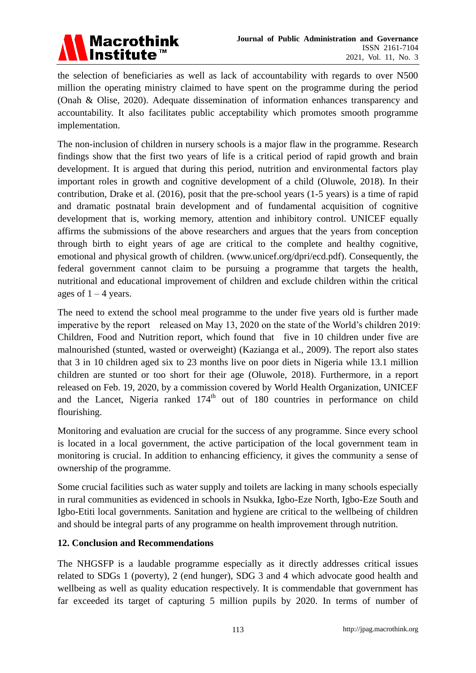

the selection of beneficiaries as well as lack of accountability with regards to over N500 million the operating ministry claimed to have spent on the programme during the period (Onah & Olise, 2020). Adequate dissemination of information enhances transparency and accountability. It also facilitates public acceptability which promotes smooth programme implementation.

The non-inclusion of children in nursery schools is a major flaw in the programme. Research findings show that the first two years of life is a critical period of rapid growth and brain development. It is argued that during this period, nutrition and environmental factors play important roles in growth and cognitive development of a child (Oluwole, 2018). In their contribution, Drake et al. (2016), posit that the pre-school years (1-5 years) is a time of rapid and dramatic postnatal brain development and of fundamental acquisition of cognitive development that is, working memory, attention and inhibitory control. UNICEF equally affirms the submissions of the above researchers and argues that the years from conception through birth to eight years of age are critical to the complete and healthy cognitive, emotional and physical growth of children. [\(www.unicef.org/dpri/ecd.pdf\)](http://www.unicef.org/dpri/ecd.pdf). Consequently, the federal government cannot claim to be pursuing a programme that targets the health, nutritional and educational improvement of children and exclude children within the critical ages of  $1 - 4$  years.

The need to extend the school meal programme to the under five years old is further made imperative by the report released on May 13, 2020 on the state of the World's children 2019: Children, Food and Nutrition report, which found that five in 10 children under five are malnourished (stunted, wasted or overweight) (Kazianga et al., 2009). The report also states that 3 in 10 children aged six to 23 months live on poor diets in Nigeria while 13.1 million children are stunted or too short for their age (Oluwole, 2018). Furthermore, in a report released on Feb. 19, 2020, by a commission covered by World Health Organization, UNICEF and the Lancet, Nigeria ranked  $174<sup>th</sup>$  out of 180 countries in performance on child flourishing.

Monitoring and evaluation are crucial for the success of any programme. Since every school is located in a local government, the active participation of the local government team in monitoring is crucial. In addition to enhancing efficiency, it gives the community a sense of ownership of the programme.

Some crucial facilities such as water supply and toilets are lacking in many schools especially in rural communities as evidenced in schools in Nsukka, Igbo-Eze North, Igbo-Eze South and Igbo-Etiti local governments. Sanitation and hygiene are critical to the wellbeing of children and should be integral parts of any programme on health improvement through nutrition.

## **12. Conclusion and Recommendations**

The NHGSFP is a laudable programme especially as it directly addresses critical issues related to SDGs 1 (poverty), 2 (end hunger), SDG 3 and 4 which advocate good health and wellbeing as well as quality education respectively. It is commendable that government has far exceeded its target of capturing 5 million pupils by 2020. In terms of number of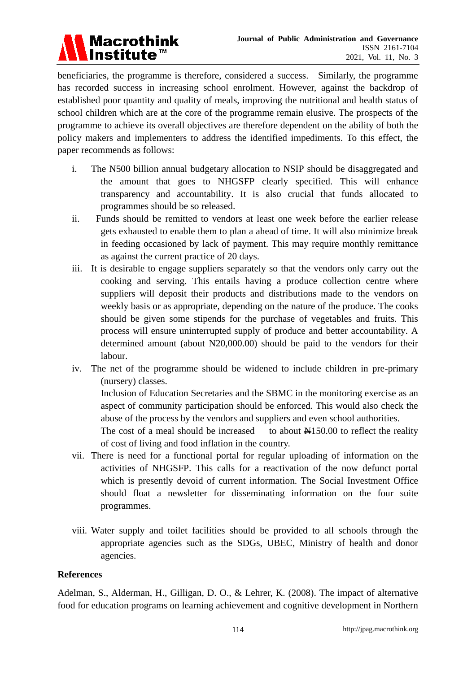

beneficiaries, the programme is therefore, considered a success. Similarly, the programme has recorded success in increasing school enrolment. However, against the backdrop of established poor quantity and quality of meals, improving the nutritional and health status of school children which are at the core of the programme remain elusive. The prospects of the programme to achieve its overall objectives are therefore dependent on the ability of both the policy makers and implementers to address the identified impediments. To this effect, the paper recommends as follows:

- i. The N500 billion annual budgetary allocation to NSIP should be disaggregated and the amount that goes to NHGSFP clearly specified. This will enhance transparency and accountability. It is also crucial that funds allocated to programmes should be so released.
- ii. Funds should be remitted to vendors at least one week before the earlier release gets exhausted to enable them to plan a ahead of time. It will also minimize break in feeding occasioned by lack of payment. This may require monthly remittance as against the current practice of 20 days.
- iii. It is desirable to engage suppliers separately so that the vendors only carry out the cooking and serving. This entails having a produce collection centre where suppliers will deposit their products and distributions made to the vendors on weekly basis or as appropriate, depending on the nature of the produce. The cooks should be given some stipends for the purchase of vegetables and fruits. This process will ensure uninterrupted supply of produce and better accountability. A determined amount (about N20,000.00) should be paid to the vendors for their labour.
- iv. The net of the programme should be widened to include children in pre-primary (nursery) classes.

Inclusion of Education Secretaries and the SBMC in the monitoring exercise as an aspect of community participation should be enforced. This would also check the abuse of the process by the vendors and suppliers and even school authorities.

The cost of a meal should be increased to about  $\frac{N}{150.00}$  to reflect the reality of cost of living and food inflation in the country.

- vii. There is need for a functional portal for regular uploading of information on the activities of NHGSFP. This calls for a reactivation of the now defunct portal which is presently devoid of current information. The Social Investment Office should float a newsletter for disseminating information on the four suite programmes.
- viii. Water supply and toilet facilities should be provided to all schools through the appropriate agencies such as the SDGs, UBEC, Ministry of health and donor agencies.

## **References**

Adelman, S., Alderman, H., Gilligan, D. O., & Lehrer, K. (2008). The impact of alternative food for education programs on learning achievement and cognitive development in Northern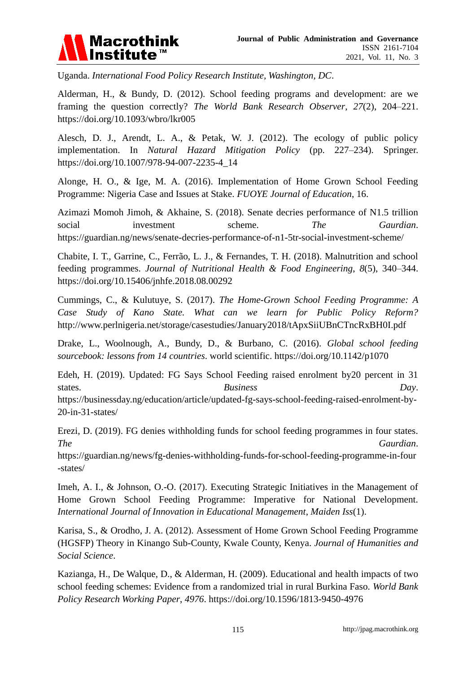

Uganda. *International Food Policy Research Institute, Washington, DC*.

Alderman, H., & Bundy, D. (2012). School feeding programs and development: are we framing the question correctly? *The World Bank Research Observer*, *27*(2), 204–221. <https://doi.org/10.1093/wbro/lkr005>

Alesch, D. J., Arendt, L. A., & Petak, W. J. (2012). The ecology of public policy implementation. In *Natural Hazard Mitigation Policy* (pp. 227–234). Springer. [https://doi.org/10.1007/978-94-007-2235-4\\_14](https://doi.org/10.1007/978-94-007-2235-4_14)

Alonge, H. O., & Ige, M. A. (2016). Implementation of Home Grown School Feeding Programme: Nigeria Case and Issues at Stake. *FUOYE Journal of Education*, 16.

Azimazi Momoh Jimoh, & Akhaine, S. (2018). Senate decries performance of N1.5 trillion social investment scheme. *The Gaurdian*. https://guardian.ng/news/senate-decries-performance-of-n1-5tr-social-investment-scheme/

Chabite, I. T., Garrine, C., Ferrão, L. J., & Fernandes, T. H. (2018). Malnutrition and school feeding programmes. *Journal of Nutritional Health & Food Engineering*, *8*(5), 340–344. <https://doi.org/10.15406/jnhfe.2018.08.00292>

Cummings, C., & Kulutuye, S. (2017). *The Home-Grown School Feeding Programme: A Case Study of Kano State. What can we learn for Public Policy Reform?* http://www.perlnigeria.net/storage/casestudies/January2018/tApxSiiUBnCTncRxBH0I.pdf

Drake, L., Woolnough, A., Bundy, D., & Burbano, C. (2016). *Global school feeding sourcebook: lessons from 14 countries*. world scientific. <https://doi.org/10.1142/p1070>

Edeh, H. (2019). Updated: FG Says School Feeding raised enrolment by20 percent in 31 states. *Business Day.* https://businessday.ng/education/article/updated-fg-says-school-feeding-raised-enrolment-by-20-in-31-states/

Erezi, D. (2019). FG denies withholding funds for school feeding programmes in four states. *The Gaurdian*.

https://guardian.ng/news/fg-denies-withholding-funds-for-school-feeding-programme-in-four -states/

Imeh, A. I., & Johnson, O.-O. (2017). Executing Strategic Initiatives in the Management of Home Grown School Feeding Programme: Imperative for National Development. *International Journal of Innovation in Educational Management*, *Maiden Iss*(1).

Karisa, S., & Orodho, J. A. (2012). Assessment of Home Grown School Feeding Programme (HGSFP) Theory in Kinango Sub-County, Kwale County, Kenya. *Journal of Humanities and Social Science*.

Kazianga, H., De Walque, D., & Alderman, H. (2009). Educational and health impacts of two school feeding schemes: Evidence from a randomized trial in rural Burkina Faso. *World Bank Policy Research Working Paper*, *4976*. <https://doi.org/10.1596/1813-9450-4976>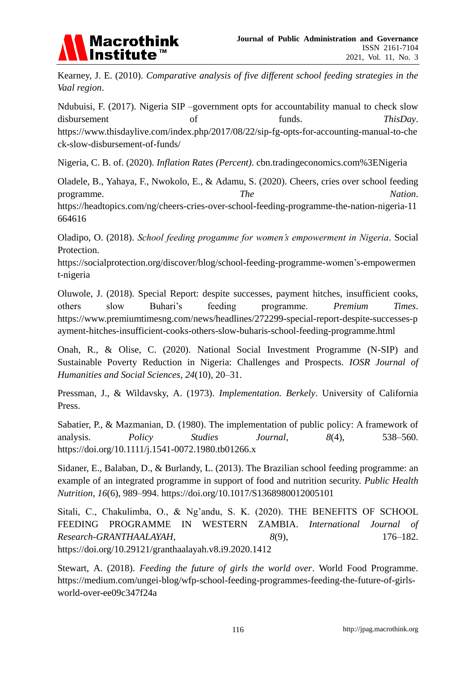

Kearney, J. E. (2010). *Comparative analysis of five different school feeding strategies in the Vaal region*.

Ndubuisi, F. (2017). Nigeria SIP –government opts for accountability manual to check slow disbursement of funds. *ThisDay*. https://www.thisdaylive.com/index.php/2017/08/22/sip-fg-opts-for-accounting-manual-to-che ck-slow-disbursement-of-funds/

Nigeria, C. B. of. (2020). *Inflation Rates (Percent)*. cbn.tradingeconomics.com%3ENigeria

Oladele, B., Yahaya, F., Nwokolo, E., & Adamu, S. (2020). Cheers, cries over school feeding programme. *The Nation*.

https://headtopics.com/ng/cheers-cries-over-school-feeding-programme-the-nation-nigeria-11 664616

Oladipo, O. (2018). *School feeding progamme for women's empowerment in Nigeria*. Social Protection.

https://socialprotection.org/discover/blog/school-feeding-programme-women's-empowermen t-nigeria

Oluwole, J. (2018). Special Report: despite successes, payment hitches, insufficient cooks, others slow Buhari's feeding programme. *Premium Times*. https://www.premiumtimesng.com/news/headlines/272299-special-report-despite-successes-p ayment-hitches-insufficient-cooks-others-slow-buharis-school-feeding-programme.html

Onah, R., & Olise, C. (2020). National Social Investment Programme (N-SIP) and Sustainable Poverty Reduction in Nigeria: Challenges and Prospects. *IOSR Journal of Humanities and Social Sciences*, *24*(10), 20–31.

Pressman, J., & Wildavsky, A. (1973). *Implementation. Berkely*. University of California Press.

Sabatier, P., & Mazmanian, D. (1980). The implementation of public policy: A framework of analysis. *Policy Studies Journal*, *8*(4), 538–560. <https://doi.org/10.1111/j.1541-0072.1980.tb01266.x>

Sidaner, E., Balaban, D., & Burlandy, L. (2013). The Brazilian school feeding programme: an example of an integrated programme in support of food and nutrition security. *Public Health Nutrition*, *16*(6), 989–994. <https://doi.org/10.1017/S1368980012005101>

Sitali, C., Chakulimba, O., & Ng'andu, S. K. (2020). THE BENEFITS OF SCHOOL FEEDING PROGRAMME IN WESTERN ZAMBIA. *International Journal of Research-GRANTHAALAYAH*, *8*(9), 176–182. <https://doi.org/10.29121/granthaalayah.v8.i9.2020.1412>

Stewart, A. (2018). *Feeding the future of girls the world over*. World Food Programme. https://medium.com/ungei-blog/wfp-school-feeding-programmes-feeding-the-future-of-girlsworld-over-ee09c347f24a